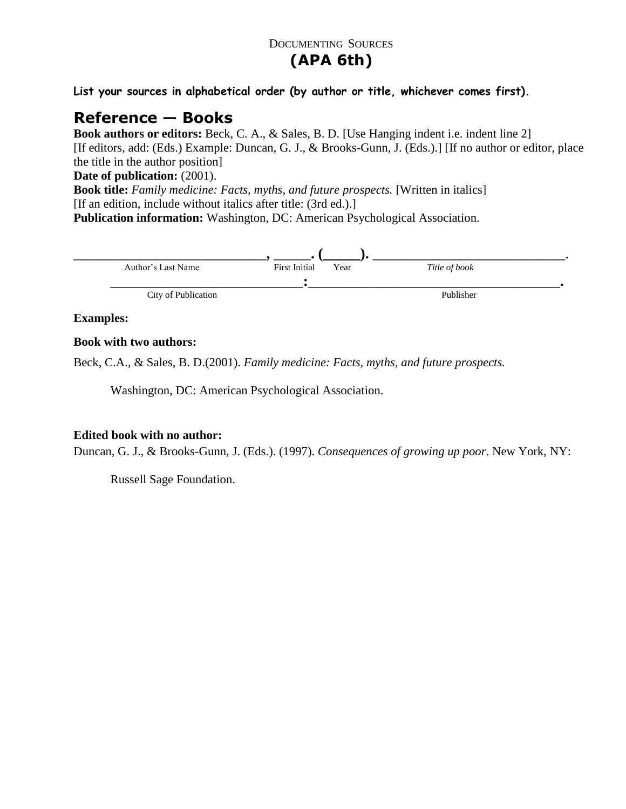## DOCUMENTING SOURCES

# **(APA 6th)**

**List your sources in alphabetical order (by author or title, whichever comes first).**

# **Reference — Books**

**Book authors or editors:** Beck, C. A., & Sales, B. D. [Use Hanging indent i.e. indent line 2] [If editors, add: (Eds.) Example: Duncan, G. J., & Brooks-Gunn, J. (Eds.).] [If no author or editor, place the title in the author position]

### **Date of publication:** (2001).

**Book title:** *Family medicine: Facts, myths, and future prospects.* [Written in italics] [If an edition, include without italics after title: (3rd ed.).]

**Publication information:** Washington, DC: American Psychological Association.



#### **Examples:**

### **Book with two authors:**

Beck, C.A., & Sales, B. D.(2001). *Family medicine: Facts, myths, and future prospects.* 

Washington, DC: American Psychological Association.

### **Edited book with no author:**

Duncan, G. J., & Brooks-Gunn, J. (Eds.). (1997). *Consequences of growing up poor*. New York, NY:

Russell Sage Foundation.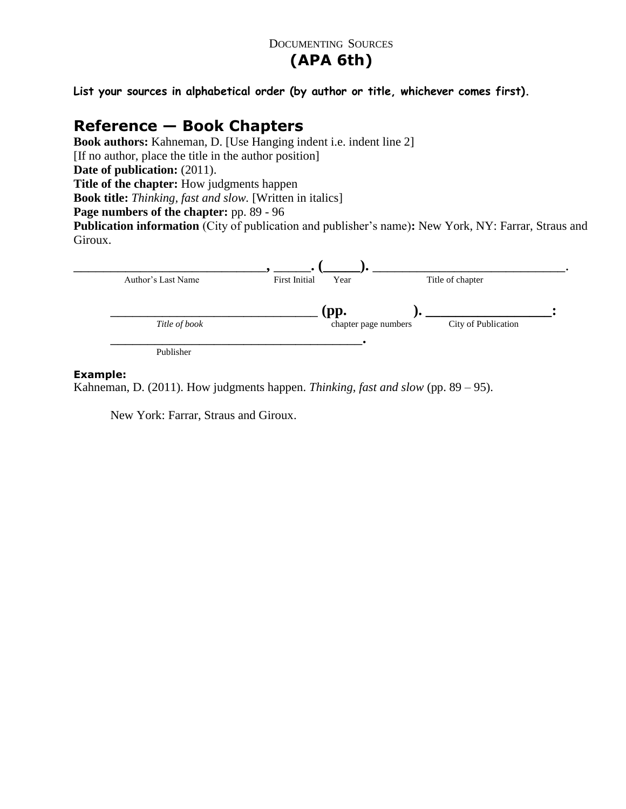### DOCUMENTING SOURCES

# **(APA 6th)**

**List your sources in alphabetical order (by author or title, whichever comes first).**

## **Reference — Book Chapters**

**Book authors:** Kahneman, D. [Use Hanging indent i.e. indent line 2] [If no author, place the title in the author position] **Date of publication: (2011). Title of the chapter:** How judgments happen **Book title:** *Thinking, fast and slow.* [Written in italics] Page numbers of the chapter: pp. 89 - 96 **Publication information** (City of publication and publisher's name)**:** New York, NY: Farrar, Straus and Giroux.



#### **Example:**

Kahneman, D. (2011). How judgments happen. *Thinking, fast and slow* (pp. 89 – 95).

New York: Farrar, Straus and Giroux.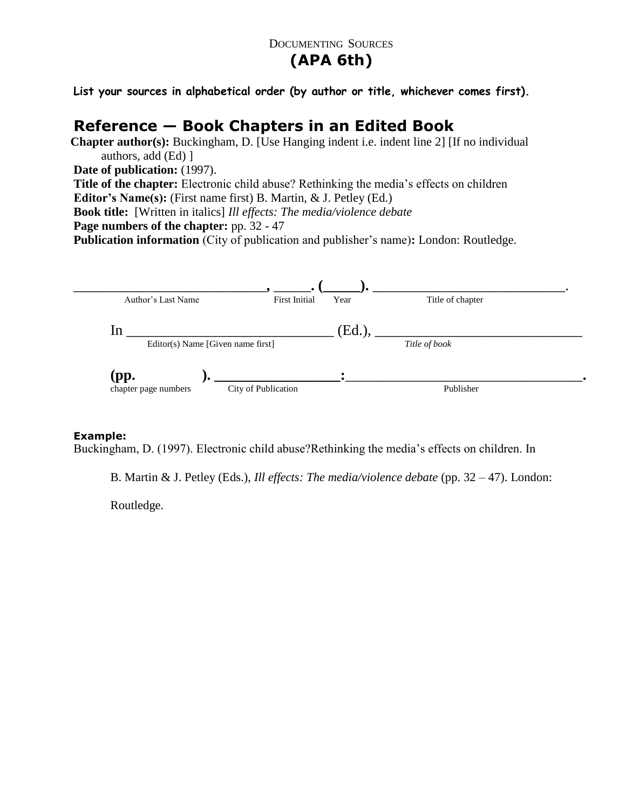### DOCUMENTING SOURCES

# **(APA 6th)**

**List your sources in alphabetical order (by author or title, whichever comes first).**

# **Reference — Book Chapters in an Edited Book**

**Chapter author(s):** Buckingham, D. [Use Hanging indent i.e. indent line 2] [If no individual authors, add (Ed) ] **Date of publication:** (1997).

**Title of the chapter:** Electronic child abuse? Rethinking the media's effects on children

**Editor's Name(s):** (First name first) B. Martin, & J. Petley (Ed.)

**Book title:** [Written in italics] *Ill effects: The media/violence debate*

**Page numbers of the chapter:** pp. 32 - 47

**Publication information** (City of publication and publisher's name)**:** London: Routledge.



### **Example:**

Buckingham, D. (1997). Electronic child abuse?Rethinking the media's effects on children. In

B. Martin & J. Petley (Eds.), *Ill effects: The media/violence debate* (pp. 32 – 47). London:

Routledge.